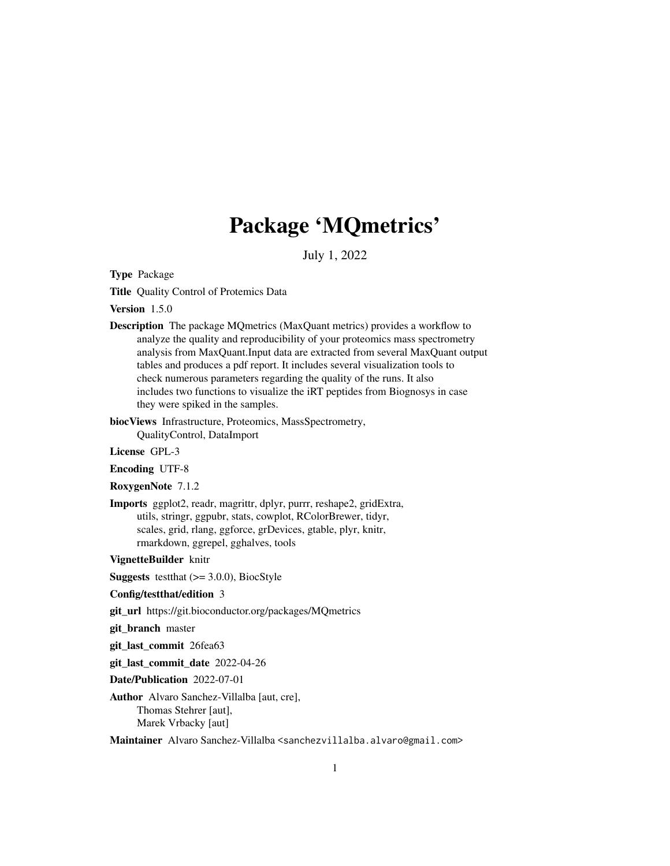# Package 'MQmetrics'

July 1, 2022

Type Package

Title Quality Control of Protemics Data

Version 1.5.0

Description The package MQmetrics (MaxQuant metrics) provides a workflow to analyze the quality and reproducibility of your proteomics mass spectrometry analysis from MaxQuant.Input data are extracted from several MaxQuant output tables and produces a pdf report. It includes several visualization tools to check numerous parameters regarding the quality of the runs. It also includes two functions to visualize the iRT peptides from Biognosys in case they were spiked in the samples.

biocViews Infrastructure, Proteomics, MassSpectrometry, QualityControl, DataImport

License GPL-3

Encoding UTF-8

RoxygenNote 7.1.2

Imports ggplot2, readr, magrittr, dplyr, purrr, reshape2, gridExtra, utils, stringr, ggpubr, stats, cowplot, RColorBrewer, tidyr, scales, grid, rlang, ggforce, grDevices, gtable, plyr, knitr, rmarkdown, ggrepel, gghalves, tools

VignetteBuilder knitr

**Suggests** test that  $(>= 3.0.0)$ , BiocStyle

#### Config/testthat/edition 3

git\_url https://git.bioconductor.org/packages/MQmetrics

git\_branch master

git\_last\_commit 26fea63

git\_last\_commit\_date 2022-04-26

Date/Publication 2022-07-01

Author Alvaro Sanchez-Villalba [aut, cre], Thomas Stehrer [aut], Marek Vrbacky [aut]

Maintainer Alvaro Sanchez-Villalba <sanchezvillalba.alvaro@gmail.com>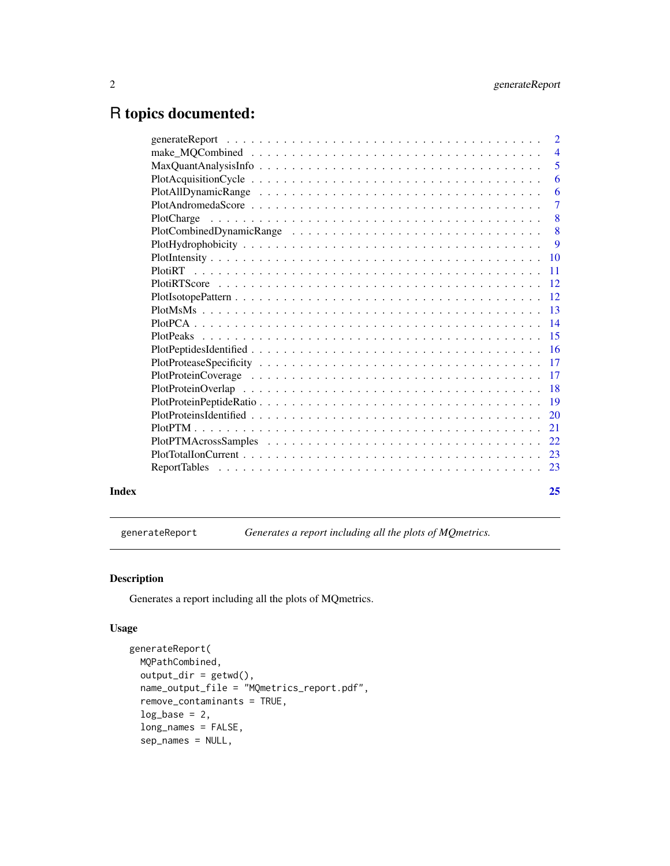## <span id="page-1-0"></span>R topics documented:

|       |                                                                                                        | $\overline{2}$            |
|-------|--------------------------------------------------------------------------------------------------------|---------------------------|
|       | $make\_MQCombined \dots \dots \dots \dots \dots \dots \dots \dots \dots \dots \dots \dots \dots \dots$ | $\overline{4}$            |
|       |                                                                                                        | 5                         |
|       |                                                                                                        | 6                         |
|       |                                                                                                        | 6                         |
|       |                                                                                                        | $\overline{7}$            |
|       | PlotCharge                                                                                             | $\overline{\phantom{0}}8$ |
|       |                                                                                                        | 8                         |
|       |                                                                                                        | 9                         |
|       |                                                                                                        |                           |
|       |                                                                                                        |                           |
|       |                                                                                                        |                           |
|       |                                                                                                        |                           |
|       |                                                                                                        |                           |
|       |                                                                                                        |                           |
|       |                                                                                                        |                           |
|       |                                                                                                        |                           |
|       |                                                                                                        |                           |
|       |                                                                                                        |                           |
|       |                                                                                                        |                           |
|       |                                                                                                        |                           |
|       |                                                                                                        |                           |
|       |                                                                                                        |                           |
|       |                                                                                                        |                           |
|       |                                                                                                        |                           |
|       |                                                                                                        |                           |
| Index |                                                                                                        | 25                        |

generateReport *Generates a report including all the plots of MQmetrics.*

### Description

Generates a report including all the plots of MQmetrics.

#### Usage

```
generateReport(
 MQPathCombined,
 output\_dir = getwd(),
 name_output_file = "MQmetrics_report.pdf",
  remove_contaminants = TRUE,
  log\_base = 2,
  long_names = FALSE,
  sep_names = NULL,
```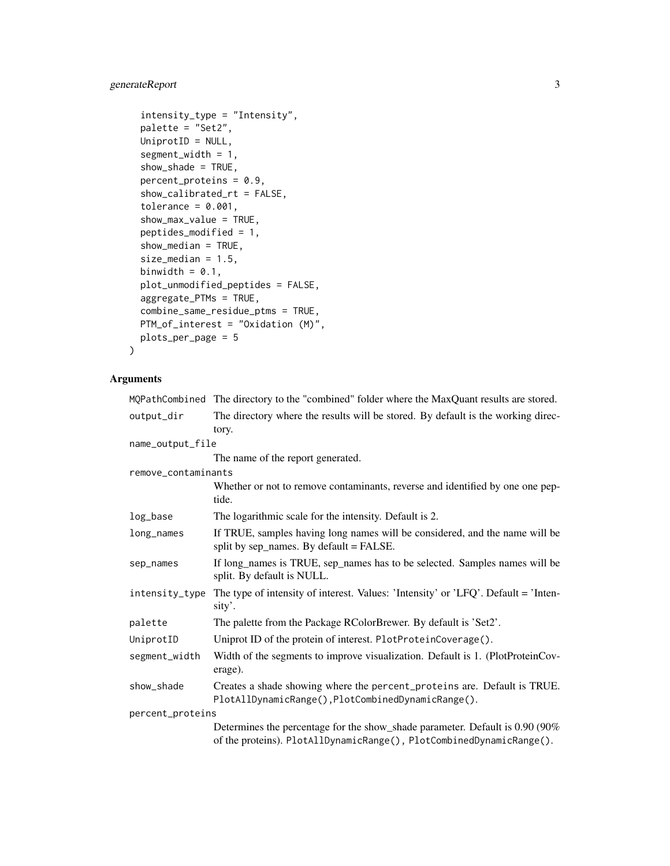### generateReport 3

```
intensity_type = "Intensity",
 palette = "Set2",
 UniprotID = NULL,
  segment_width = 1,
  show_shade = TRUE,
 percent_proteins = 0.9,
  show_calibrated_rt = FALSE,
  tolerance = 0.001,show_max_value = TRUE,
 peptides_modified = 1,
  show_median = TRUE,
  size_median = 1.5,
 binwidth = 0.1,
 plot_unmodified_peptides = FALSE,
 aggregate_PTMs = TRUE,
  combine_same_residue_ptms = TRUE,
 PTM_of_interest = "Oxidation (M)",
 plots_per_page = 5
\mathcal{L}
```

|                     | MQPathCombined The directory to the "combined" folder where the MaxQuant results are stored.                                                          |
|---------------------|-------------------------------------------------------------------------------------------------------------------------------------------------------|
| output_dir          | The directory where the results will be stored. By default is the working direc-<br>tory.                                                             |
| name_output_file    |                                                                                                                                                       |
|                     | The name of the report generated.                                                                                                                     |
| remove_contaminants |                                                                                                                                                       |
|                     | Whether or not to remove contaminants, reverse and identified by one one pep-<br>tide.                                                                |
| log_base            | The logarithmic scale for the intensity. Default is 2.                                                                                                |
| long_names          | If TRUE, samples having long names will be considered, and the name will be<br>split by sep_names. By default = FALSE.                                |
| sep_names           | If long_names is TRUE, sep_names has to be selected. Samples names will be<br>split. By default is NULL.                                              |
| intensity_type      | The type of intensity of interest. Values: 'Intensity' or 'LFQ'. Default = 'Inten-<br>sity'.                                                          |
| palette             | The palette from the Package RColorBrewer. By default is 'Set2'.                                                                                      |
| UniprotID           | Uniprot ID of the protein of interest. PlotProteinCoverage().                                                                                         |
| segment_width       | Width of the segments to improve visualization. Default is 1. (PlotProteinCov-<br>erage).                                                             |
| show_shade          | Creates a shade showing where the percent_proteins are. Default is TRUE.<br>PlotAllDynamicRange(), PlotCombinedDynamicRange().                        |
| percent_proteins    |                                                                                                                                                       |
|                     | Determines the percentage for the show_shade parameter. Default is 0.90 (90%)<br>of the proteins). PlotAllDynamicRange(), PlotCombinedDynamicRange(). |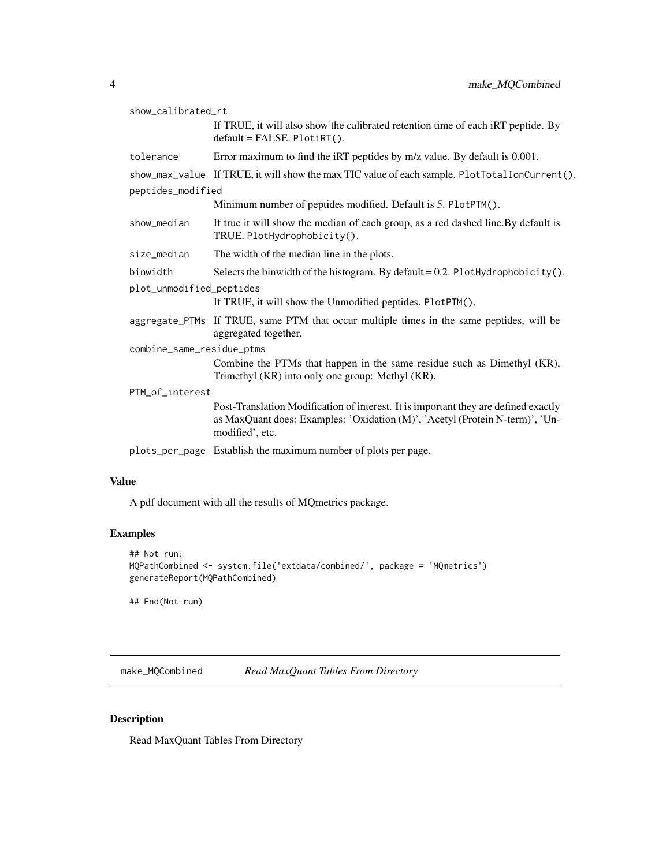<span id="page-3-0"></span>

| show_calibrated_rt        |                                                                                                                                                                                        |  |
|---------------------------|----------------------------------------------------------------------------------------------------------------------------------------------------------------------------------------|--|
|                           | If TRUE, it will also show the calibrated retention time of each iRT peptide. By<br>$default = FALSE. PlotirT()$ .                                                                     |  |
| tolerance                 | Error maximum to find the iRT peptides by m/z value. By default is 0.001.                                                                                                              |  |
| peptides_modified         | show_max_value If TRUE, it will show the max TIC value of each sample. PlotTotalIonCurrent().                                                                                          |  |
|                           | Minimum number of peptides modified. Default is 5. PlotPTM().                                                                                                                          |  |
| show_median               | If true it will show the median of each group, as a red dashed line. By default is<br>TRUE. PlotHydrophobicity().                                                                      |  |
| size_median               | The width of the median line in the plots.                                                                                                                                             |  |
| binwidth                  | Selects the binwidth of the histogram. By default = $0.2$ . PlotHydrophobicity().                                                                                                      |  |
| plot_unmodified_peptides  |                                                                                                                                                                                        |  |
|                           | If TRUE, it will show the Unmodified peptides. PlotPTM().                                                                                                                              |  |
|                           | aggregate_PTMs If TRUE, same PTM that occur multiple times in the same peptides, will be<br>aggregated together.                                                                       |  |
| combine_same_residue_ptms |                                                                                                                                                                                        |  |
|                           | Combine the PTMs that happen in the same residue such as Dimethyl (KR),<br>Trimethyl (KR) into only one group: Methyl (KR).                                                            |  |
| PTM_of_interest           |                                                                                                                                                                                        |  |
|                           | Post-Translation Modification of interest. It is important they are defined exactly<br>as MaxQuant does: Examples: 'Oxidation (M)', 'Acetyl (Protein N-term)', 'Un-<br>modified', etc. |  |
|                           | plots_per_page Establish the maximum number of plots per page.                                                                                                                         |  |
|                           |                                                                                                                                                                                        |  |

#### Value

A pdf document with all the results of MQmetrics package.

#### Examples

```
## Not run:
MQPathCombined <- system.file('extdata/combined/', package = 'MQmetrics')
generateReport(MQPathCombined)
```
## End(Not run)

make\_MQCombined *Read MaxQuant Tables From Directory*

#### Description

Read MaxQuant Tables From Directory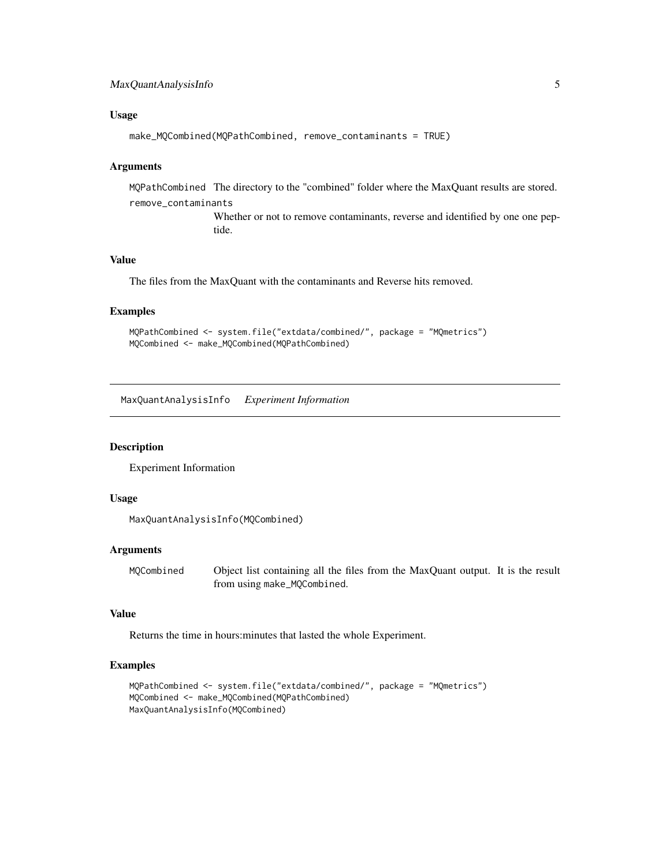#### <span id="page-4-0"></span>Usage

```
make_MQCombined(MQPathCombined, remove_contaminants = TRUE)
```
#### Arguments

MQPathCombined The directory to the "combined" folder where the MaxQuant results are stored. remove\_contaminants

> Whether or not to remove contaminants, reverse and identified by one one peptide.

#### Value

The files from the MaxQuant with the contaminants and Reverse hits removed.

#### Examples

```
MQPathCombined <- system.file("extdata/combined/", package = "MQmetrics")
MQCombined <- make_MQCombined(MQPathCombined)
```
MaxQuantAnalysisInfo *Experiment Information*

#### Description

Experiment Information

#### Usage

```
MaxQuantAnalysisInfo(MQCombined)
```
#### Arguments

MQCombined Object list containing all the files from the MaxQuant output. It is the result from using make\_MQCombined.

#### Value

Returns the time in hours:minutes that lasted the whole Experiment.

```
MQPathCombined <- system.file("extdata/combined/", package = "MQmetrics")
MQCombined <- make_MQCombined(MQPathCombined)
MaxQuantAnalysisInfo(MQCombined)
```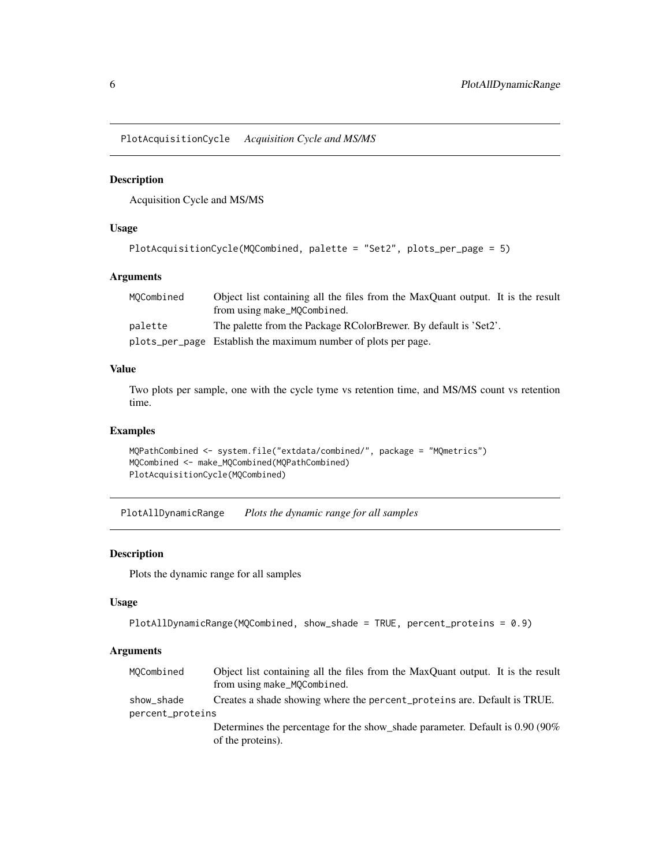<span id="page-5-0"></span>PlotAcquisitionCycle *Acquisition Cycle and MS/MS*

#### Description

Acquisition Cycle and MS/MS

#### Usage

```
PlotAcquisitionCycle(MQCombined, palette = "Set2", plots_per_page = 5)
```
#### Arguments

| MOCombined | Object list containing all the files from the MaxQuant output. It is the result |
|------------|---------------------------------------------------------------------------------|
|            | from using make_MQCombined.                                                     |
| palette    | The palette from the Package RColorBrewer. By default is 'Set2'.                |
|            | plots_per_page Establish the maximum number of plots per page.                  |

#### Value

Two plots per sample, one with the cycle tyme vs retention time, and MS/MS count vs retention time.

#### Examples

```
MQPathCombined <- system.file("extdata/combined/", package = "MQmetrics")
MQCombined <- make_MQCombined(MQPathCombined)
PlotAcquisitionCycle(MQCombined)
```
PlotAllDynamicRange *Plots the dynamic range for all samples*

#### Description

Plots the dynamic range for all samples

#### Usage

```
PlotAllDynamicRange(MQCombined, show_shade = TRUE, percent_proteins = 0.9)
```

| MOCombined       | Object list containing all the files from the MaxQuant output. It is the result<br>from using make_MQCombined. |
|------------------|----------------------------------------------------------------------------------------------------------------|
| show_shade       | Creates a shade showing where the percent_proteins are. Default is TRUE.                                       |
| percent_proteins |                                                                                                                |
|                  | Determines the percentage for the show shade parameter. Default is 0.90 (90%)                                  |
|                  | of the proteins).                                                                                              |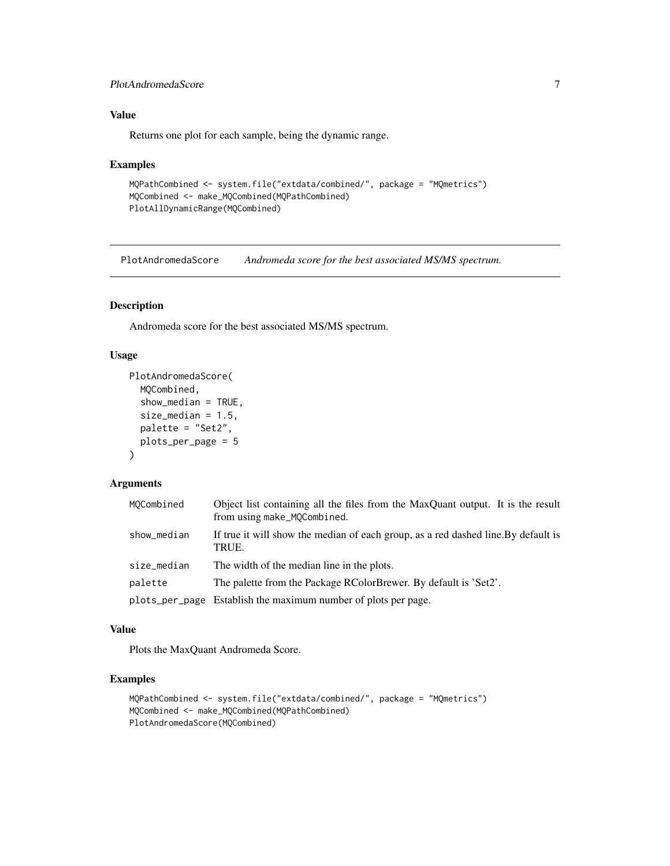#### <span id="page-6-0"></span>PlotAndromedaScore 7

#### Value

Returns one plot for each sample, being the dynamic range.

#### Examples

```
MQPathCombined <- system.file("extdata/combined/", package = "MQmetrics")
MQCombined <- make_MQCombined(MQPathCombined)
PlotAllDynamicRange(MQCombined)
```
PlotAndromedaScore *Andromeda score for the best associated MS/MS spectrum.*

#### Description

Andromeda score for the best associated MS/MS spectrum.

#### Usage

```
PlotAndromedaScore(
  MQCombined,
  show_median = TRUE,
  size_median = 1.5,
  palette = "Set2",
  plots_per_page = 5
\mathcal{L}
```
#### Arguments

| MOCombined  | Object list containing all the files from the MaxQuant output. It is the result<br>from using make_MQCombined. |
|-------------|----------------------------------------------------------------------------------------------------------------|
| show_median | If true it will show the median of each group, as a red dashed line. By default is<br>TRUE.                    |
| size_median | The width of the median line in the plots.                                                                     |
| palette     | The palette from the Package RColorBrewer. By default is 'Set2'.                                               |
|             | plots_per_page Establish the maximum number of plots per page.                                                 |

#### Value

Plots the MaxQuant Andromeda Score.

```
MQPathCombined <- system.file("extdata/combined/", package = "MQmetrics")
MQCombined <- make_MQCombined(MQPathCombined)
PlotAndromedaScore(MQCombined)
```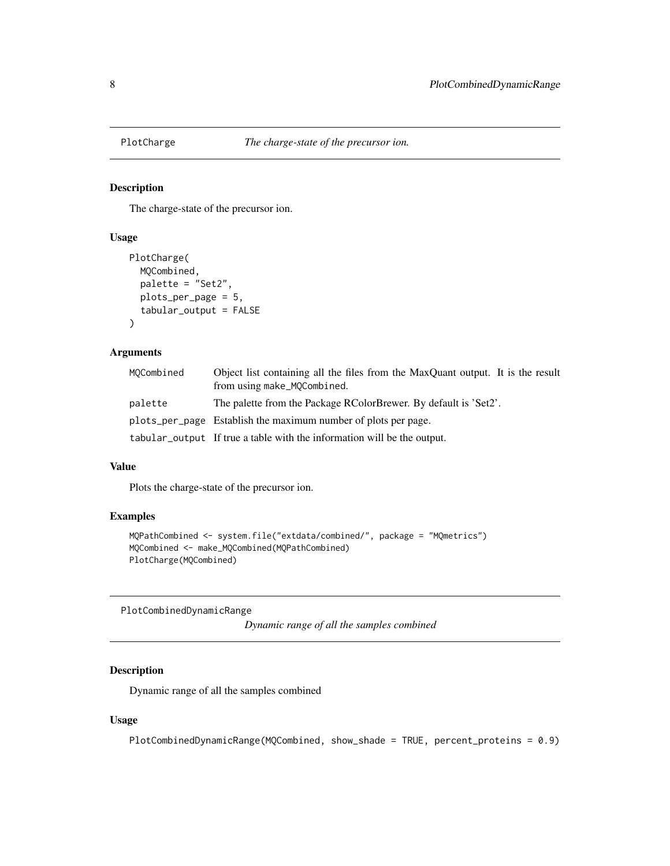<span id="page-7-0"></span>

The charge-state of the precursor ion.

#### Usage

```
PlotCharge(
 MQCombined,
 palette = "Set2",
 plots_per_page = 5,
  tabular_output = FALSE
)
```
#### Arguments

| MOCombined | Object list containing all the files from the MaxQuant output. It is the result<br>from using make_MQCombined. |
|------------|----------------------------------------------------------------------------------------------------------------|
| palette    | The palette from the Package RColorBrewer. By default is 'Set2'.                                               |
|            | plots_per_page Establish the maximum number of plots per page.                                                 |
|            | tabular_output If true a table with the information will be the output.                                        |

#### Value

Plots the charge-state of the precursor ion.

#### Examples

```
MQPathCombined <- system.file("extdata/combined/", package = "MQmetrics")
MQCombined <- make_MQCombined(MQPathCombined)
PlotCharge(MQCombined)
```
PlotCombinedDynamicRange

*Dynamic range of all the samples combined*

#### Description

Dynamic range of all the samples combined

#### Usage

PlotCombinedDynamicRange(MQCombined, show\_shade = TRUE, percent\_proteins = 0.9)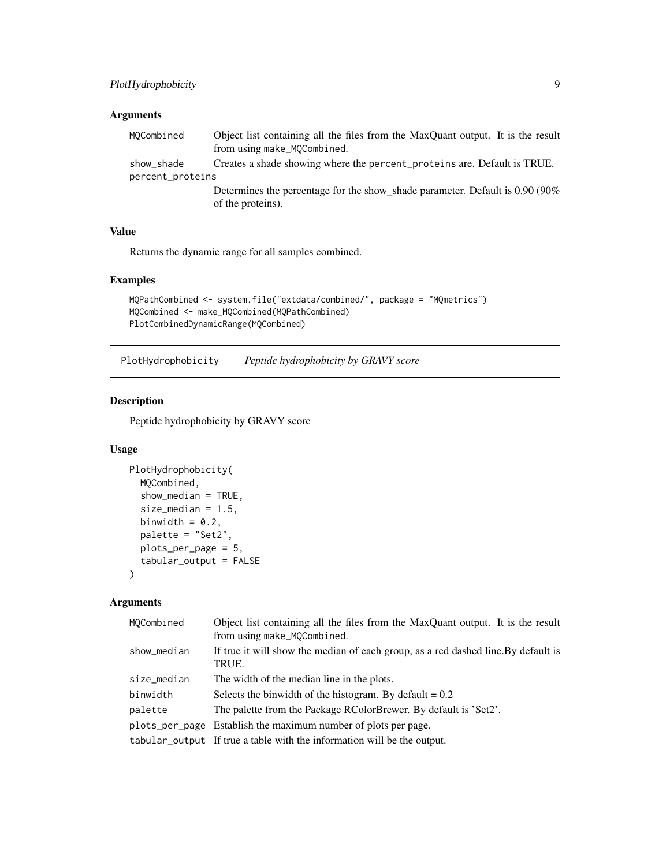#### <span id="page-8-0"></span>Arguments

| MOCombined       | Object list containing all the files from the MaxQuant output. It is the result                    |
|------------------|----------------------------------------------------------------------------------------------------|
|                  | from using make_MQCombined.                                                                        |
| show_shade       | Creates a shade showing where the percent_proteins are. Default is TRUE.                           |
| percent_proteins |                                                                                                    |
|                  | Determines the percentage for the show_shade parameter. Default is 0.90 (90%)<br>of the proteins). |

#### Value

Returns the dynamic range for all samples combined.

#### Examples

```
MQPathCombined <- system.file("extdata/combined/", package = "MQmetrics")
MQCombined <- make_MQCombined(MQPathCombined)
PlotCombinedDynamicRange(MQCombined)
```
PlotHydrophobicity *Peptide hydrophobicity by GRAVY score*

#### Description

Peptide hydrophobicity by GRAVY score

#### Usage

```
PlotHydrophobicity(
 MQCombined,
  show_median = TRUE,
  size_median = 1.5,
 binwidth = 0.2,
 palette = "Set2",
 plots_per_page = 5,
  tabular_output = FALSE
\lambda
```

| MOCombined     | Object list containing all the files from the MaxQuant output. It is the result<br>from using make_MQCombined. |
|----------------|----------------------------------------------------------------------------------------------------------------|
| show_median    | If true it will show the median of each group, as a red dashed line. By default is<br>TRUE.                    |
| size_median    | The width of the median line in the plots.                                                                     |
| binwidth       | Selects the binwidth of the histogram. By default $= 0.2$                                                      |
| palette        | The palette from the Package RColorBrewer. By default is 'Set2'.                                               |
| plots_per_page | Establish the maximum number of plots per page.                                                                |
|                | tabular_output If true a table with the information will be the output.                                        |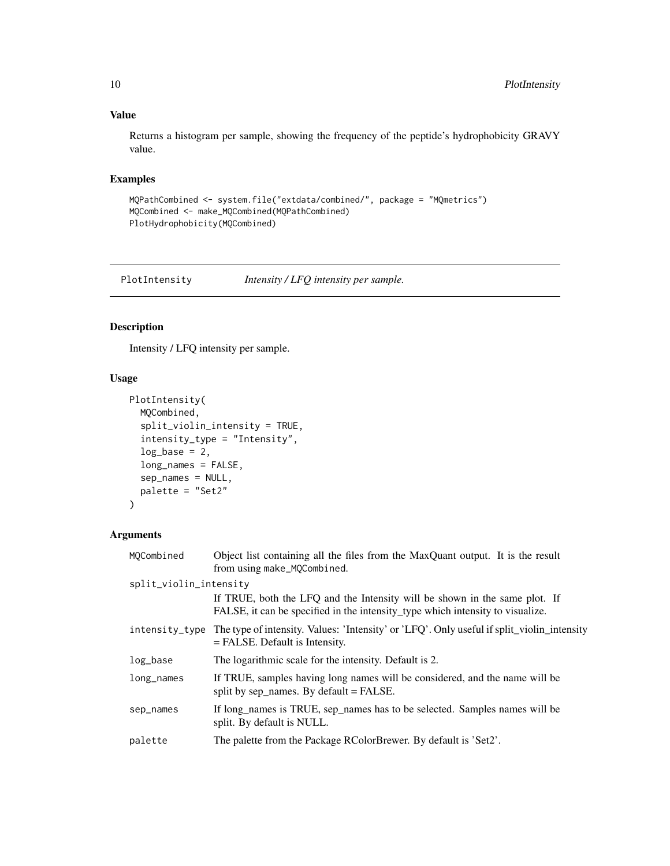#### <span id="page-9-0"></span>Value

Returns a histogram per sample, showing the frequency of the peptide's hydrophobicity GRAVY value.

#### Examples

```
MQPathCombined <- system.file("extdata/combined/", package = "MQmetrics")
MQCombined <- make_MQCombined(MQPathCombined)
PlotHydrophobicity(MQCombined)
```
PlotIntensity *Intensity / LFQ intensity per sample.*

#### Description

Intensity / LFQ intensity per sample.

#### Usage

```
PlotIntensity(
 MQCombined,
  split_violin_intensity = TRUE,
  intensity_type = "Intensity",
  log\_base = 2,
  long_names = FALSE,
  sep_names = NULL,
 palette = "Set2"
)
```

| MOCombined             | Object list containing all the files from the MaxQuant output. It is the result<br>from using make_MQCombined.                                               |
|------------------------|--------------------------------------------------------------------------------------------------------------------------------------------------------------|
| split_violin_intensity |                                                                                                                                                              |
|                        | If TRUE, both the LFQ and the Intensity will be shown in the same plot. If<br>FALSE, it can be specified in the intensity_type which intensity to visualize. |
|                        | intensity_type The type of intensity. Values: 'Intensity' or 'LFQ'. Only useful if split_violin_intensity<br>$=$ FALSE. Default is Intensity.                |
| log_base               | The logarithmic scale for the intensity. Default is 2.                                                                                                       |
| long_names             | If TRUE, samples having long names will be considered, and the name will be<br>split by sep_names. By default = FALSE.                                       |
| sep_names              | If long_names is TRUE, sep_names has to be selected. Samples names will be<br>split. By default is NULL.                                                     |
| palette                | The palette from the Package RColorBrewer. By default is 'Set2'.                                                                                             |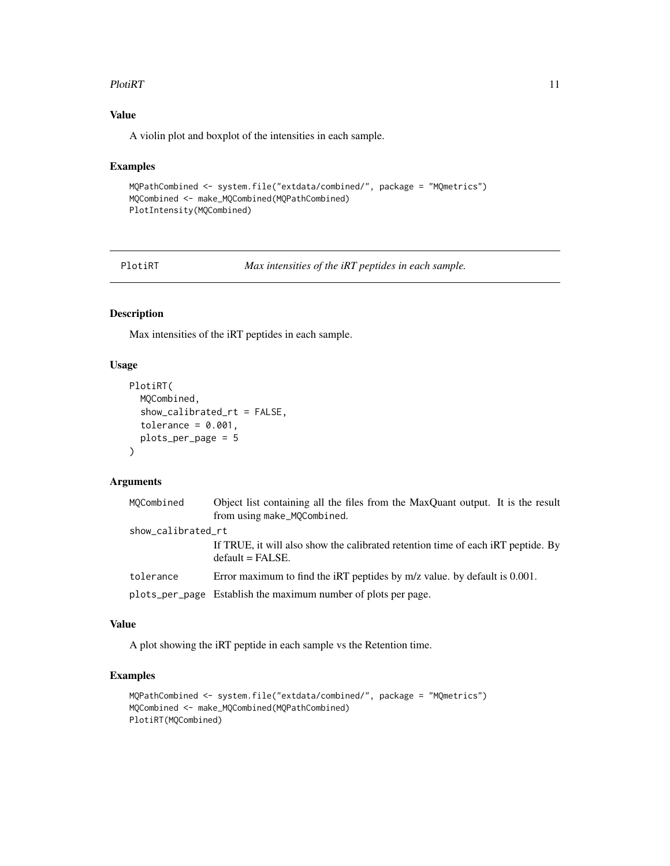#### <span id="page-10-0"></span>PlotiRT 11

#### Value

A violin plot and boxplot of the intensities in each sample.

#### Examples

```
MQPathCombined <- system.file("extdata/combined/", package = "MQmetrics")
MQCombined <- make_MQCombined(MQPathCombined)
PlotIntensity(MQCombined)
```
PlotiRT *Max intensities of the iRT peptides in each sample.*

#### Description

Max intensities of the iRT peptides in each sample.

#### Usage

```
PlotiRT(
  MQCombined,
  show_calibrated_rt = FALSE,
  tolerance = 0.001,plots_per_page = 5
\mathcal{L}
```
#### Arguments

| MOCombined         | Object list containing all the files from the MaxQuant output. It is the result<br>from using make_MQCombined. |
|--------------------|----------------------------------------------------------------------------------------------------------------|
| show_calibrated_rt |                                                                                                                |
|                    | If TRUE, it will also show the calibrated retention time of each iRT peptide. By<br>$default = FALSE.$         |
| tolerance          | Error maximum to find the iRT peptides by $m/z$ value. by default is 0.001.                                    |
|                    | plots_per_page Establish the maximum number of plots per page.                                                 |

#### Value

A plot showing the iRT peptide in each sample vs the Retention time.

```
MQPathCombined <- system.file("extdata/combined/", package = "MQmetrics")
MQCombined <- make_MQCombined(MQPathCombined)
PlotiRT(MQCombined)
```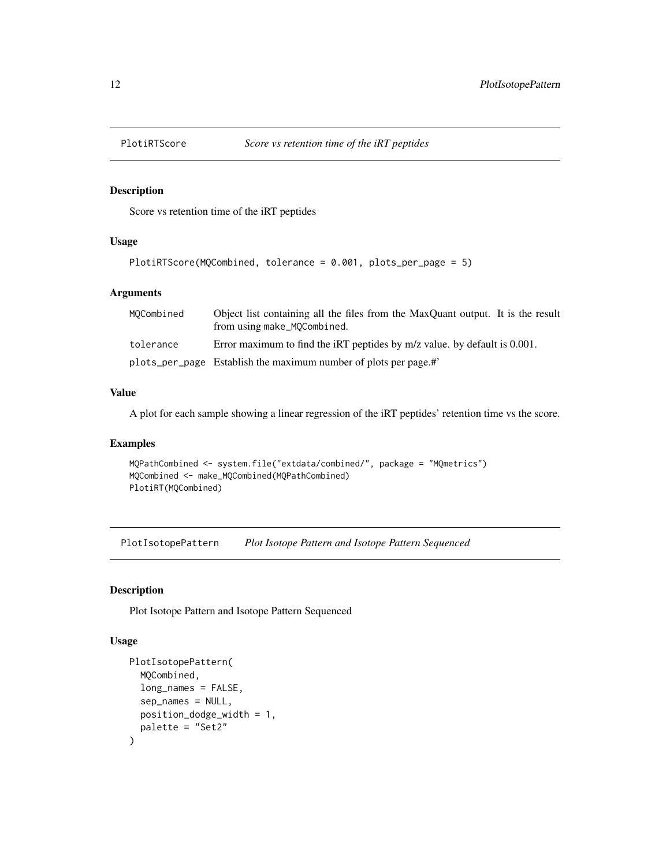<span id="page-11-0"></span>

Score vs retention time of the iRT peptides

#### Usage

```
PlotiRTScore(MQCombined, tolerance = 0.001, plots_per_page = 5)
```
#### Arguments

| MOCombined | Object list containing all the files from the MaxQuant output. It is the result<br>from using make_MQCombined. |
|------------|----------------------------------------------------------------------------------------------------------------|
| tolerance  | Error maximum to find the iRT peptides by $m/z$ value. by default is 0.001.                                    |
|            | plots_per_page Establish the maximum number of plots per page.#'                                               |

#### Value

A plot for each sample showing a linear regression of the iRT peptides' retention time vs the score.

#### Examples

```
MQPathCombined <- system.file("extdata/combined/", package = "MQmetrics")
MQCombined <- make_MQCombined(MQPathCombined)
PlotiRT(MQCombined)
```
PlotIsotopePattern *Plot Isotope Pattern and Isotope Pattern Sequenced*

#### Description

Plot Isotope Pattern and Isotope Pattern Sequenced

#### Usage

```
PlotIsotopePattern(
  MQCombined,
  long_names = FALSE,
  sep_names = NULL,
  position_dodge_width = 1,
  palette = "Set2"
\mathcal{E}
```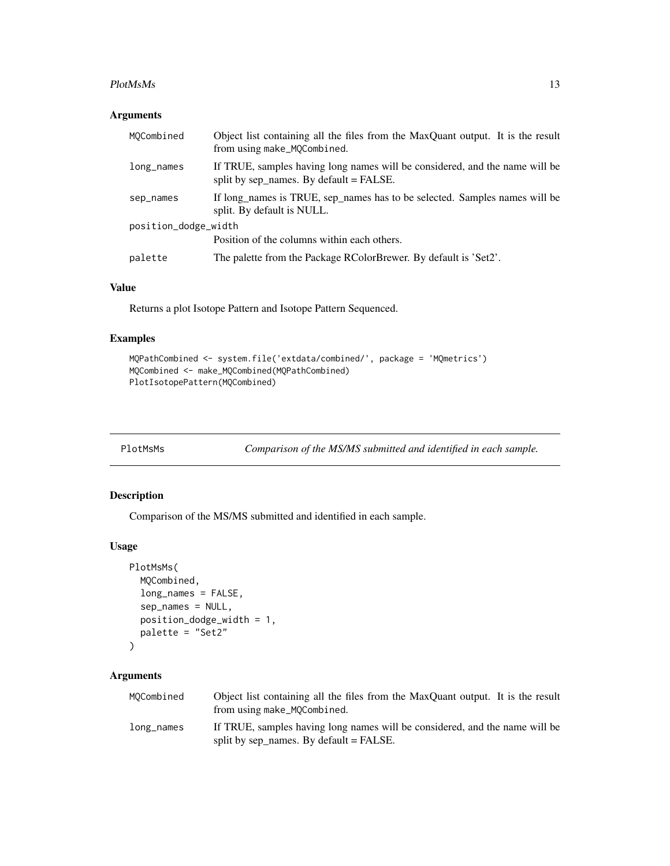#### <span id="page-12-0"></span>PlotMsMs 13

#### Arguments

| MOCombined           | Object list containing all the files from the MaxQuant output. It is the result<br>from using make_MQCombined.           |  |
|----------------------|--------------------------------------------------------------------------------------------------------------------------|--|
| long_names           | If TRUE, samples having long names will be considered, and the name will be<br>split by sep_names. By default = $FALSE.$ |  |
| sep_names            | If long names is TRUE, sep names has to be selected. Samples names will be<br>split. By default is NULL.                 |  |
| position_dodge_width |                                                                                                                          |  |
|                      | Position of the columns within each others.                                                                              |  |
| palette              | The palette from the Package RColorBrewer. By default is 'Set2'.                                                         |  |

#### Value

Returns a plot Isotope Pattern and Isotope Pattern Sequenced.

#### Examples

```
MQPathCombined <- system.file('extdata/combined/', package = 'MQmetrics')
MQCombined <- make_MQCombined(MQPathCombined)
PlotIsotopePattern(MQCombined)
```
PlotMsMs *Comparison of the MS/MS submitted and identified in each sample.*

#### Description

Comparison of the MS/MS submitted and identified in each sample.

#### Usage

```
PlotMsMs(
  MQCombined,
  long_names = FALSE,
  sep_names = NULL,
  position_dodge_width = 1,
  palette = "Set2"
)
```

| MOCombined | Object list containing all the files from the MaxQuant output. It is the result<br>from using make_MQCombined.           |
|------------|--------------------------------------------------------------------------------------------------------------------------|
| long_names | If TRUE, samples having long names will be considered, and the name will be<br>split by sep_names. By default = $FALSE.$ |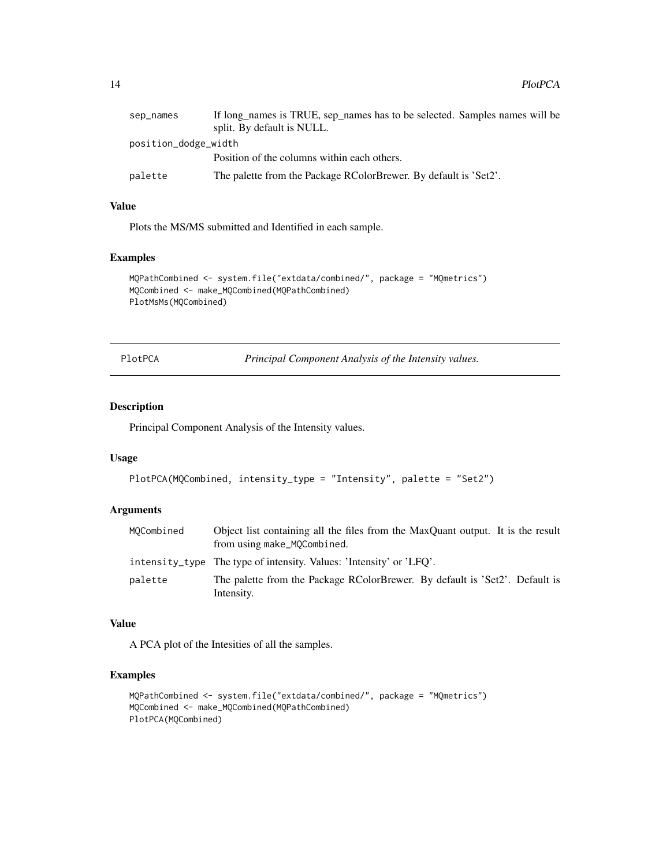<span id="page-13-0"></span>

| sep_names            | If long names is TRUE, sep names has to be selected. Samples names will be |  |
|----------------------|----------------------------------------------------------------------------|--|
|                      | split. By default is NULL.                                                 |  |
| position_dodge_width |                                                                            |  |
|                      | Position of the columns within each others.                                |  |
| palette              | The palette from the Package RColorBrewer. By default is 'Set2'.           |  |

#### Value

Plots the MS/MS submitted and Identified in each sample.

#### Examples

```
MQPathCombined <- system.file("extdata/combined/", package = "MQmetrics")
MQCombined <- make_MQCombined(MQPathCombined)
PlotMsMs(MQCombined)
```
PlotPCA *Principal Component Analysis of the Intensity values.*

#### Description

Principal Component Analysis of the Intensity values.

#### Usage

```
PlotPCA(MQCombined, intensity_type = "Intensity", palette = "Set2")
```
#### Arguments

| MOCombined | Object list containing all the files from the MaxQuant output. It is the result<br>from using make_MQCombined. |
|------------|----------------------------------------------------------------------------------------------------------------|
|            | intensity type The type of intensity. Values: 'Intensity' or 'LFO'.                                            |
| palette    | The palette from the Package RColorBrewer. By default is 'Set2'. Default is<br>Intensity.                      |

#### Value

A PCA plot of the Intesities of all the samples.

```
MQPathCombined <- system.file("extdata/combined/", package = "MQmetrics")
MQCombined <- make_MQCombined(MQPathCombined)
PlotPCA(MQCombined)
```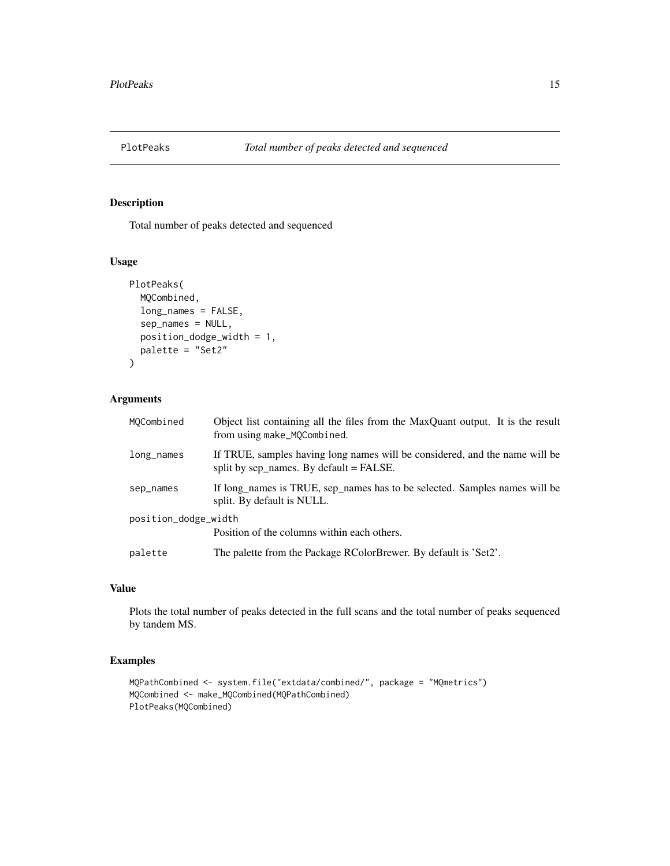<span id="page-14-0"></span>

Total number of peaks detected and sequenced

#### Usage

```
PlotPeaks(
  MQCombined,
  long_names = FALSE,
  sep_names = NULL,
  position_dodge_width = 1,
  palette = "Set2"
\mathcal{L}
```
#### Arguments

| MOCombined           | Object list containing all the files from the MaxQuant output. It is the result<br>from using make_MQCombined.           |  |
|----------------------|--------------------------------------------------------------------------------------------------------------------------|--|
| long_names           | If TRUE, samples having long names will be considered, and the name will be<br>split by sep_names. By default = $FALSE.$ |  |
| sep_names            | If long names is TRUE, sep names has to be selected. Samples names will be<br>split. By default is NULL.                 |  |
| position_dodge_width |                                                                                                                          |  |
|                      | Position of the columns within each others.                                                                              |  |
| palette              | The palette from the Package RColorBrewer. By default is 'Set2'.                                                         |  |

#### Value

Plots the total number of peaks detected in the full scans and the total number of peaks sequenced by tandem MS.

```
MQPathCombined <- system.file("extdata/combined/", package = "MQmetrics")
MQCombined <- make_MQCombined(MQPathCombined)
PlotPeaks(MQCombined)
```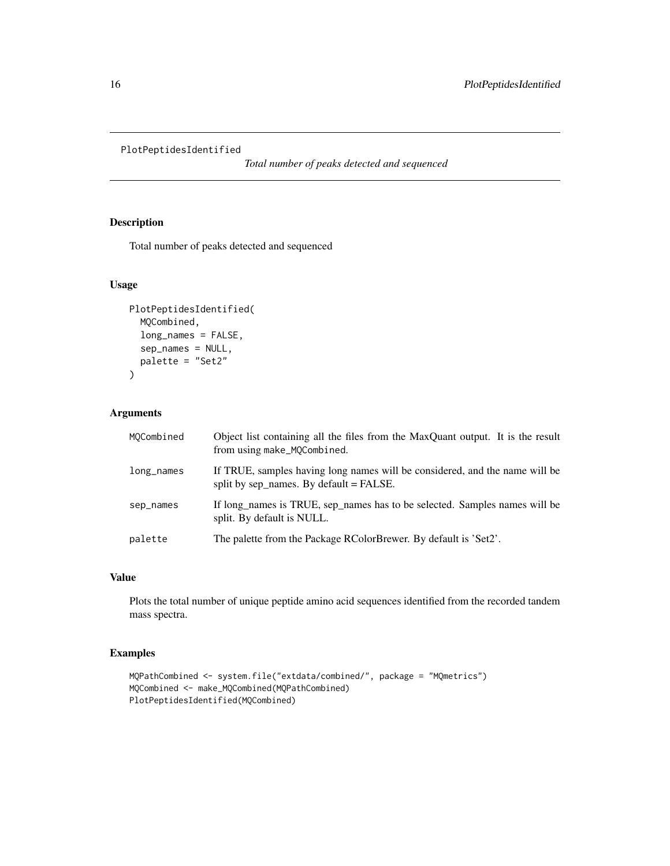#### <span id="page-15-0"></span>PlotPeptidesIdentified

*Total number of peaks detected and sequenced*

#### Description

Total number of peaks detected and sequenced

#### Usage

```
PlotPeptidesIdentified(
  MQCombined,
  long_names = FALSE,
  sep_names = NULL,
  palette = "Set2"
\mathcal{L}
```
#### Arguments

| MOCombined    | Object list containing all the files from the MaxQuant output. It is the result<br>from using make_MQCombined.         |
|---------------|------------------------------------------------------------------------------------------------------------------------|
| $long\_names$ | If TRUE, samples having long names will be considered, and the name will be<br>split by sep_names. By default = FALSE. |
| sep_names     | If long_names is TRUE, sep_names has to be selected. Samples names will be<br>split. By default is NULL.               |
| palette       | The palette from the Package RColorBrewer. By default is 'Set2'.                                                       |

#### Value

Plots the total number of unique peptide amino acid sequences identified from the recorded tandem mass spectra.

```
MQPathCombined <- system.file("extdata/combined/", package = "MQmetrics")
MQCombined <- make_MQCombined(MQPathCombined)
PlotPeptidesIdentified(MQCombined)
```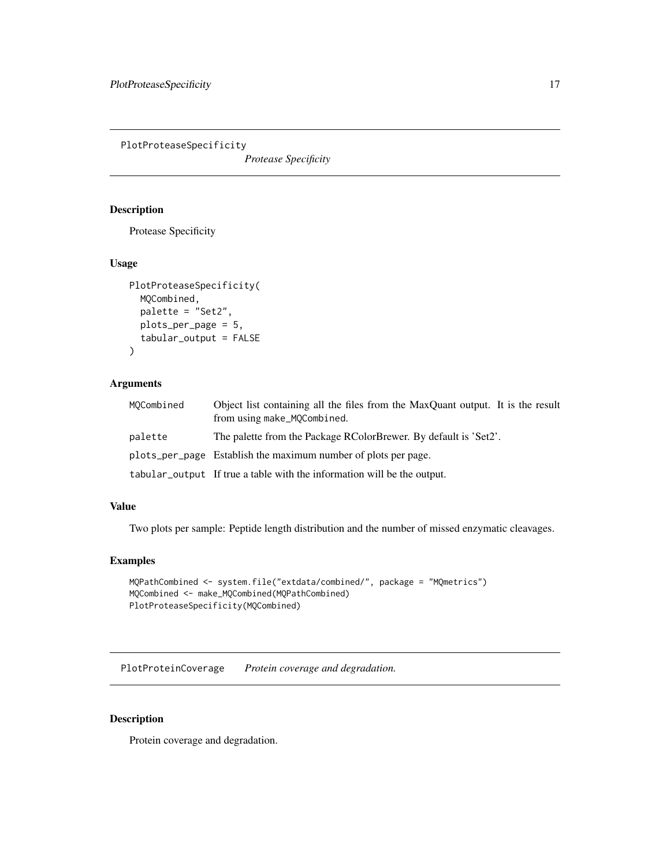<span id="page-16-0"></span>PlotProteaseSpecificity

*Protease Specificity*

#### Description

Protease Specificity

#### Usage

```
PlotProteaseSpecificity(
 MQCombined,
  palette = "Set2",
 plots_per_page = 5,
  tabular_output = FALSE
)
```
#### Arguments

| MOCombined | Object list containing all the files from the MaxQuant output. It is the result<br>from using make_MQCombined. |
|------------|----------------------------------------------------------------------------------------------------------------|
| palette    | The palette from the Package RColorBrewer. By default is 'Set2'.                                               |
|            | plots_per_page Establish the maximum number of plots per page.                                                 |
|            | tabular_output If true a table with the information will be the output.                                        |

#### Value

Two plots per sample: Peptide length distribution and the number of missed enzymatic cleavages.

#### Examples

```
MQPathCombined <- system.file("extdata/combined/", package = "MQmetrics")
MQCombined <- make_MQCombined(MQPathCombined)
PlotProteaseSpecificity(MQCombined)
```
PlotProteinCoverage *Protein coverage and degradation.*

#### Description

Protein coverage and degradation.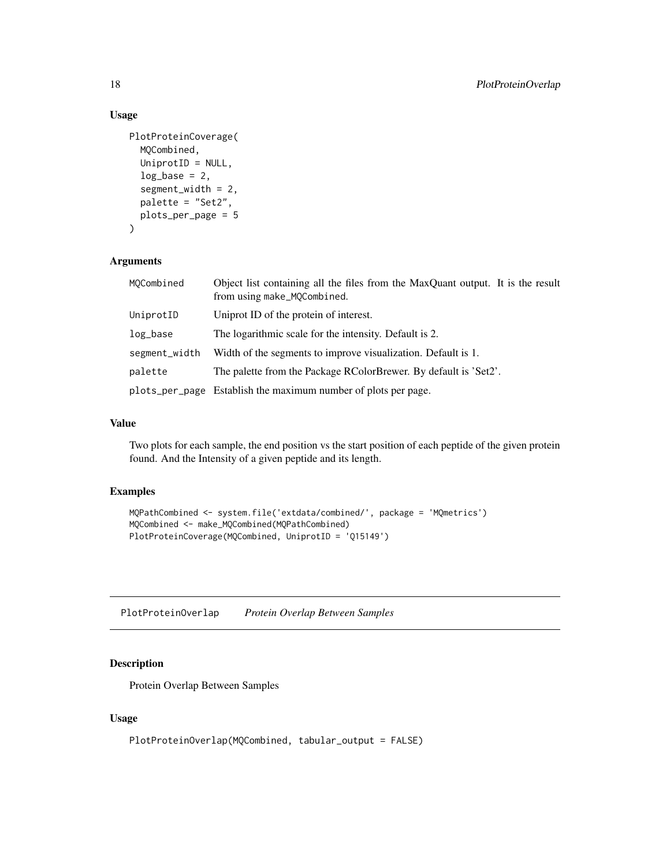#### Usage

```
PlotProteinCoverage(
  MQCombined,
  UniprotID = NULL,
  log\_base = 2,
  segment_width = 2,
  palette = "Set2",
 plots_per_page = 5
)
```
#### Arguments

| MOCombined    | Object list containing all the files from the MaxQuant output. It is the result<br>from using make_MQCombined. |
|---------------|----------------------------------------------------------------------------------------------------------------|
| UniprotID     | Uniprot ID of the protein of interest.                                                                         |
| log_base      | The logarithmic scale for the intensity. Default is 2.                                                         |
| segment_width | Width of the segments to improve visualization. Default is 1.                                                  |
| palette       | The palette from the Package RColorBrewer. By default is 'Set2'.                                               |
|               | plots_per_page Establish the maximum number of plots per page.                                                 |

#### Value

Two plots for each sample, the end position vs the start position of each peptide of the given protein found. And the Intensity of a given peptide and its length.

#### Examples

```
MQPathCombined <- system.file('extdata/combined/', package = 'MQmetrics')
MQCombined <- make_MQCombined(MQPathCombined)
PlotProteinCoverage(MQCombined, UniprotID = 'Q15149')
```
PlotProteinOverlap *Protein Overlap Between Samples*

#### Description

Protein Overlap Between Samples

#### Usage

```
PlotProteinOverlap(MQCombined, tabular_output = FALSE)
```
<span id="page-17-0"></span>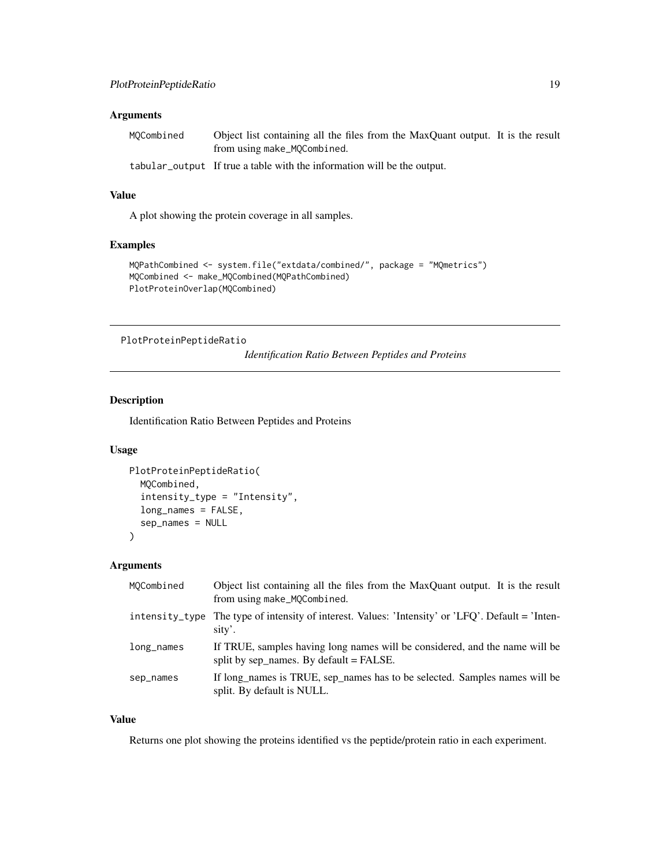#### <span id="page-18-0"></span>Arguments

| MQCombined | Object list containing all the files from the MaxQuant output. It is the result |
|------------|---------------------------------------------------------------------------------|
|            | from using make_MQCombined.                                                     |

tabular\_output If true a table with the information will be the output.

#### Value

A plot showing the protein coverage in all samples.

#### Examples

```
MQPathCombined <- system.file("extdata/combined/", package = "MQmetrics")
MQCombined <- make_MQCombined(MQPathCombined)
PlotProteinOverlap(MQCombined)
```
PlotProteinPeptideRatio

*Identification Ratio Between Peptides and Proteins*

#### Description

Identification Ratio Between Peptides and Proteins

#### Usage

```
PlotProteinPeptideRatio(
  MQCombined,
  intensity_type = "Intensity",
  long_names = FALSE,
  sep_names = NULL
\mathcal{E}
```
#### Arguments

| MOCombined | Object list containing all the files from the MaxQuant output. It is the result<br>from using make_MQCombined.           |
|------------|--------------------------------------------------------------------------------------------------------------------------|
|            | intensity_type The type of intensity of interest. Values: 'Intensity' or 'LFQ'. Default = 'Inten-<br>sity'.              |
| long_names | If TRUE, samples having long names will be considered, and the name will be<br>split by sep names. By default $=$ FALSE. |
| sep_names  | If long names is TRUE, sep names has to be selected. Samples names will be<br>split. By default is NULL.                 |

#### Value

Returns one plot showing the proteins identified vs the peptide/protein ratio in each experiment.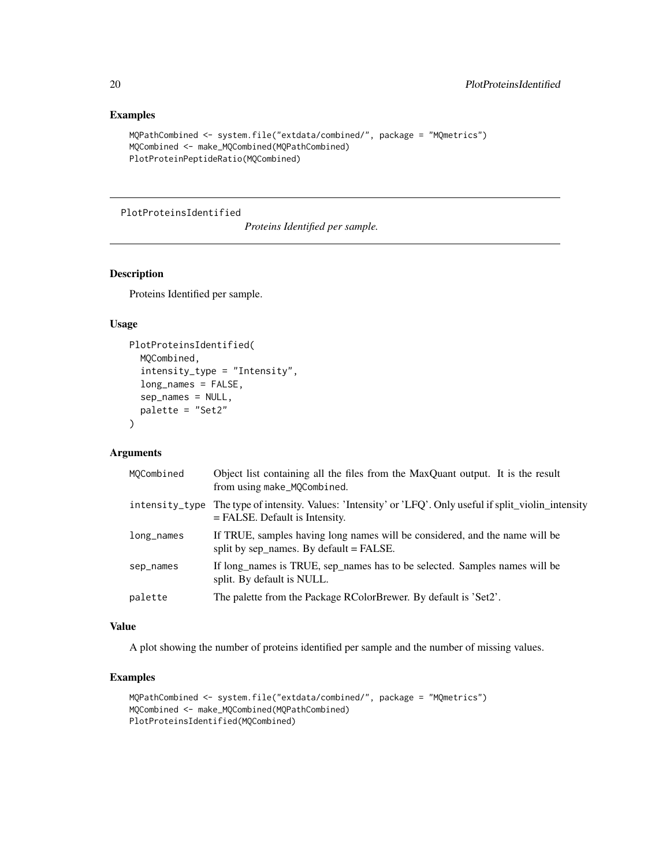#### Examples

```
MQPathCombined <- system.file("extdata/combined/", package = "MQmetrics")
MQCombined <- make_MQCombined(MQPathCombined)
PlotProteinPeptideRatio(MQCombined)
```
#### PlotProteinsIdentified

*Proteins Identified per sample.*

#### Description

Proteins Identified per sample.

#### Usage

```
PlotProteinsIdentified(
 MQCombined,
  intensity_type = "Intensity",
  long_names = FALSE,
  sep_names = NULL,
 palette = "Set2"
)
```
#### Arguments

| MOCombined     | Object list containing all the files from the MaxQuant output. It is the result<br>from using make_MQCombined.                 |
|----------------|--------------------------------------------------------------------------------------------------------------------------------|
| intensity_type | The type of intensity. Values: 'Intensity' or 'LFQ'. Only useful if split_violin_intensity<br>$=$ FALSE. Default is Intensity. |
| long_names     | If TRUE, samples having long names will be considered, and the name will be<br>split by sep names. By default $=$ FALSE.       |
| sep_names      | If long_names is TRUE, sep_names has to be selected. Samples names will be<br>split. By default is NULL.                       |
| palette        | The palette from the Package RColorBrewer. By default is 'Set2'.                                                               |

#### Value

A plot showing the number of proteins identified per sample and the number of missing values.

```
MQPathCombined <- system.file("extdata/combined/", package = "MQmetrics")
MQCombined <- make_MQCombined(MQPathCombined)
PlotProteinsIdentified(MQCombined)
```
<span id="page-19-0"></span>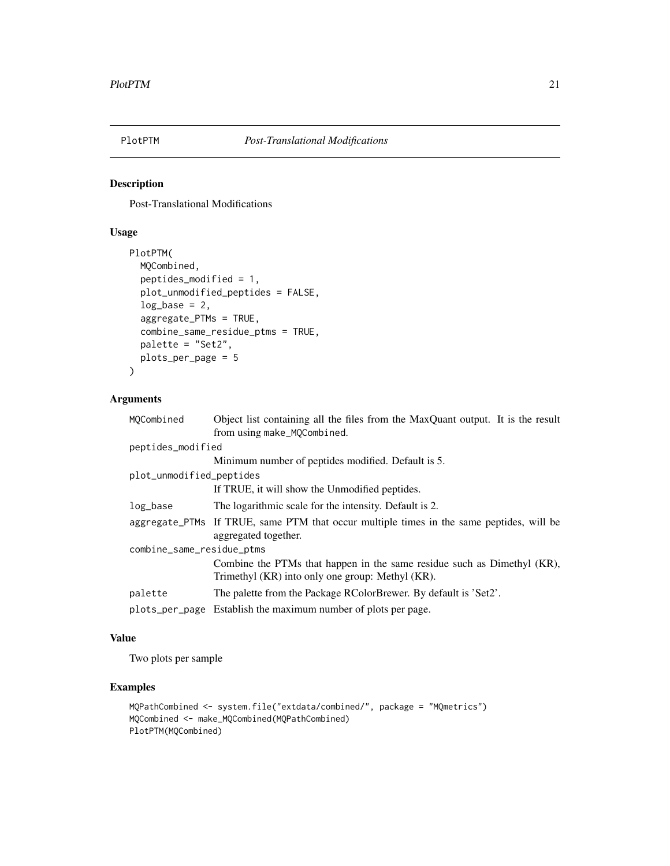<span id="page-20-0"></span>

Post-Translational Modifications

#### Usage

```
PlotPTM(
 MQCombined,
  peptides_modified = 1,
 plot_unmodified_peptides = FALSE,
  log\_base = 2,
  aggregate_PTMs = TRUE,
  combine_same_residue_ptms = TRUE,
 palette = "Set2",
 plots_per_page = 5
\mathcal{L}
```
#### Arguments

| MOCombined                | Object list containing all the files from the MaxQuant output. It is the result          |
|---------------------------|------------------------------------------------------------------------------------------|
|                           | from using make_MQCombined.                                                              |
| peptides_modified         |                                                                                          |
|                           | Minimum number of peptides modified. Default is 5.                                       |
| plot_unmodified_peptides  |                                                                                          |
|                           | If TRUE, it will show the Unmodified peptides.                                           |
| log_base                  | The logarithmic scale for the intensity. Default is 2.                                   |
|                           | aggregate_PTMs If TRUE, same PTM that occur multiple times in the same peptides, will be |
|                           | aggregated together.                                                                     |
| combine_same_residue_ptms |                                                                                          |
|                           | Combine the PTMs that happen in the same residue such as Dimethyl (KR),                  |
|                           | Trimethyl (KR) into only one group: Methyl (KR).                                         |
| palette                   | The palette from the Package RColorBrewer. By default is 'Set2'.                         |
|                           | plots_per_page Establish the maximum number of plots per page.                           |
|                           |                                                                                          |

#### Value

Two plots per sample

```
MQPathCombined <- system.file("extdata/combined/", package = "MQmetrics")
MQCombined <- make_MQCombined(MQPathCombined)
PlotPTM(MQCombined)
```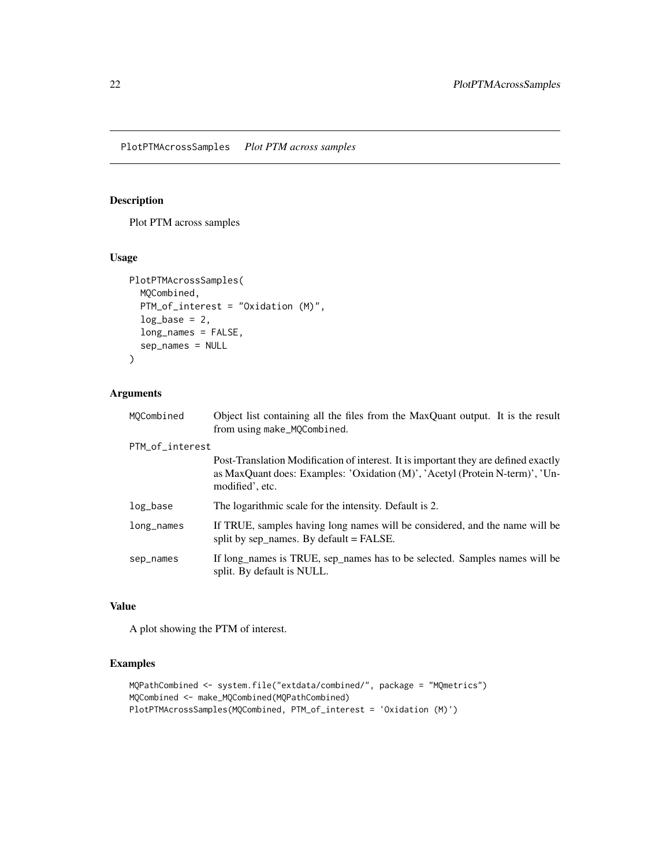<span id="page-21-0"></span>PlotPTMAcrossSamples *Plot PTM across samples*

#### Description

Plot PTM across samples

#### Usage

```
PlotPTMAcrossSamples(
  MQCombined,
 PTM_of_interest = "Oxidation (M)",
  log\_base = 2,
  long_names = FALSE,
  sep_names = NULL
)
```
#### Arguments

| MOCombined      | Object list containing all the files from the MaxQuant output. It is the result<br>from using make_MQCombined.                                                                         |  |
|-----------------|----------------------------------------------------------------------------------------------------------------------------------------------------------------------------------------|--|
| PTM_of_interest |                                                                                                                                                                                        |  |
|                 | Post-Translation Modification of interest. It is important they are defined exactly<br>as MaxQuant does: Examples: 'Oxidation (M)', 'Acetyl (Protein N-term)', 'Un-<br>modified', etc. |  |
| log_base        | The logarithmic scale for the intensity. Default is 2.                                                                                                                                 |  |
| $long\_names$   | If TRUE, samples having long names will be considered, and the name will be<br>split by sep_names. By default = $FALSE.$                                                               |  |
| sep_names       | If long names is TRUE, sep names has to be selected. Samples names will be<br>split. By default is NULL.                                                                               |  |

#### Value

A plot showing the PTM of interest.

```
MQPathCombined <- system.file("extdata/combined/", package = "MQmetrics")
MQCombined <- make_MQCombined(MQPathCombined)
PlotPTMAcrossSamples(MQCombined, PTM_of_interest = 'Oxidation (M)')
```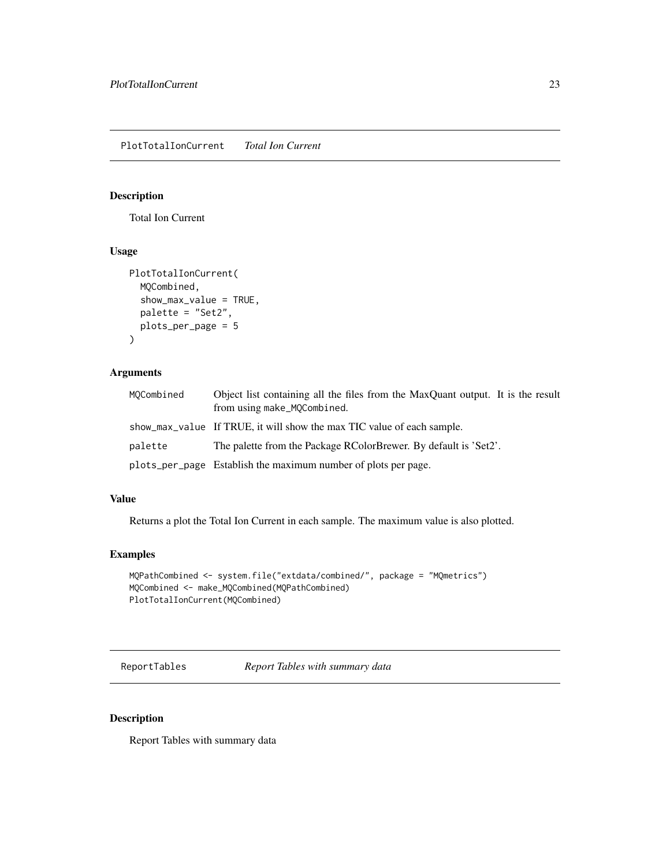<span id="page-22-0"></span>Total Ion Current

#### Usage

```
PlotTotalIonCurrent(
  MQCombined,
  show_max_value = TRUE,
  palette = "Set2",
 plots_per_page = 5
)
```
#### Arguments

| MOCombined | Object list containing all the files from the MaxQuant output. It is the result<br>from using make_MQCombined. |
|------------|----------------------------------------------------------------------------------------------------------------|
|            | show_max_value If TRUE, it will show the max TIC value of each sample.                                         |
| palette    | The palette from the Package RColorBrewer. By default is 'Set2'.                                               |
|            | plots_per_page Establish the maximum number of plots per page.                                                 |

#### Value

Returns a plot the Total Ion Current in each sample. The maximum value is also plotted.

#### Examples

```
MQPathCombined <- system.file("extdata/combined/", package = "MQmetrics")
MQCombined <- make_MQCombined(MQPathCombined)
PlotTotalIonCurrent(MQCombined)
```
ReportTables *Report Tables with summary data*

#### Description

Report Tables with summary data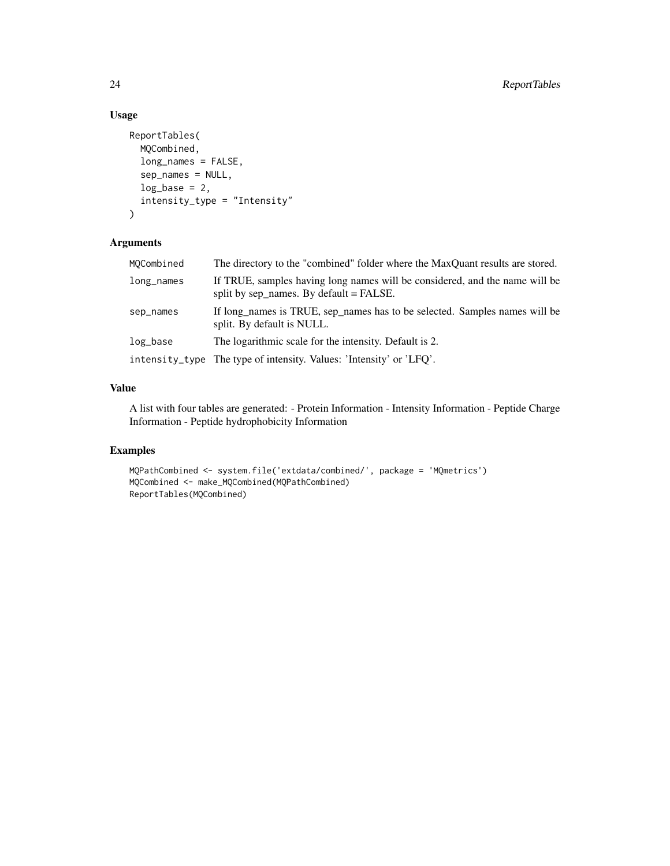### Usage

```
ReportTables(
 MQCombined,
  long_names = FALSE,
  sep_names = NULL,
  log\_base = 2,
  intensity_type = "Intensity"
)
```
#### Arguments

| MQCombined | The directory to the "combined" folder where the MaxQuant results are stored.                                            |
|------------|--------------------------------------------------------------------------------------------------------------------------|
| long_names | If TRUE, samples having long names will be considered, and the name will be<br>split by sep_names. By default = $FALSE.$ |
| sep_names  | If long names is TRUE, sep names has to be selected. Samples names will be<br>split. By default is NULL.                 |
| log_base   | The logarithmic scale for the intensity. Default is 2.                                                                   |
|            | intensity_type The type of intensity. Values: 'Intensity' or 'LFQ'.                                                      |

#### Value

A list with four tables are generated: - Protein Information - Intensity Information - Peptide Charge Information - Peptide hydrophobicity Information

```
MQPathCombined <- system.file('extdata/combined/', package = 'MQmetrics')
MQCombined <- make_MQCombined(MQPathCombined)
ReportTables(MQCombined)
```